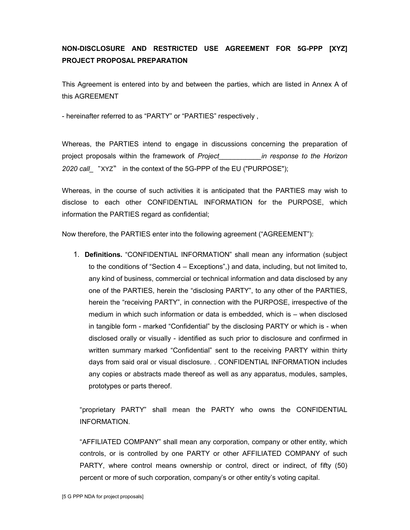## **NON-DISCLOSURE AND RESTRICTED USE AGREEMENT FOR 5G-PPP [XYZ] PROJECT PROPOSAL PREPARATION**

This Agreement is entered into by and between the parties, which are listed in Annex A of this AGREEMENT

- hereinafter referred to as "PARTY" or "PARTIES" respectively ,

Whereas, the PARTIES intend to engage in discussions concerning the preparation of project proposals within the framework of *Project\_\_\_\_\_\_\_\_\_\_\_in response to the Horizon 2020 call\_* "XYZ" in the context of the 5G-PPP of the EU ("PURPOSE");

Whereas, in the course of such activities it is anticipated that the PARTIES may wish to disclose to each other CONFIDENTIAL INFORMATION for the PURPOSE, which information the PARTIES regard as confidential;

Now therefore, the PARTIES enter into the following agreement ("AGREEMENT"):

1. **Definitions.** "CONFIDENTIAL INFORMATION" shall mean any information (subject to the conditions of "Section 4 – Exceptions",) and data, including, but not limited to, any kind of business, commercial or technical information and data disclosed by any one of the PARTIES, herein the "disclosing PARTY", to any other of the PARTIES, herein the "receiving PARTY", in connection with the PURPOSE, irrespective of the medium in which such information or data is embedded, which is – when disclosed in tangible form - marked "Confidential" by the disclosing PARTY or which is - when disclosed orally or visually - identified as such prior to disclosure and confirmed in written summary marked "Confidential" sent to the receiving PARTY within thirty days from said oral or visual disclosure*.* . CONFIDENTIAL INFORMATION includes any copies or abstracts made thereof as well as any apparatus, modules, samples, prototypes or parts thereof.

"proprietary PARTY" shall mean the PARTY who owns the CONFIDENTIAL INFORMATION.

"AFFILIATED COMPANY" shall mean any corporation, company or other entity, which controls, or is controlled by one PARTY or other AFFILIATED COMPANY of such PARTY, where control means ownership or control, direct or indirect, of fifty (50) percent or more of such corporation, company's or other entity's voting capital.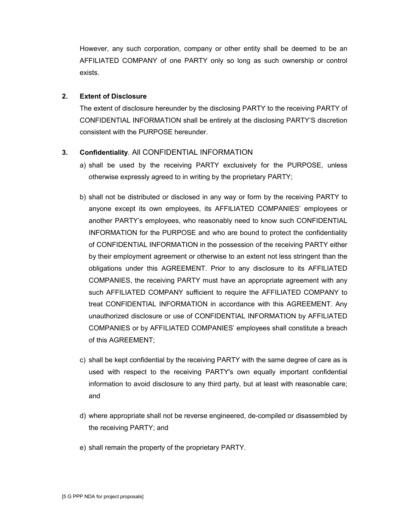However, any such corporation, company or other entity shall be deemed to be an AFFILIATED COMPANY of one PARTY only so long as such ownership or control exists.

## **2. Extent of Disclosure**

The extent of disclosure hereunder by the disclosing PARTY to the receiving PARTY of CONFIDENTIAL INFORMATION shall be entirely at the disclosing PARTY'S discretion consistent with the PURPOSE hereunder.

## **3. Confidentiality**. All CONFIDENTIAL INFORMATION

- a) shall be used by the receiving PARTY exclusively for the PURPOSE, unless otherwise expressly agreed to in writing by the proprietary PARTY;
- b) shall not be distributed or disclosed in any way or form by the receiving PARTY to anyone except its own employees, its AFFILIATED COMPANIES' employees or another PARTY's employees, who reasonably need to know such CONFIDENTIAL INFORMATION for the PURPOSE and who are bound to protect the confidentiality of CONFIDENTIAL INFORMATION in the possession of the receiving PARTY either by their employment agreement or otherwise to an extent not less stringent than the obligations under this AGREEMENT. Prior to any disclosure to its AFFILIATED COMPANIES, the receiving PARTY must have an appropriate agreement with any such AFFILIATED COMPANY sufficient to require the AFFILIATED COMPANY to treat CONFIDENTIAL INFORMATION in accordance with this AGREEMENT. Any unauthorized disclosure or use of CONFIDENTIAL INFORMATION by AFFILIATED COMPANIES or by AFFILIATED COMPANIES' employees shall constitute a breach of this AGREEMENT;
- c) shall be kept confidential by the receiving PARTY with the same degree of care as is used with respect to the receiving PARTY's own equally important confidential information to avoid disclosure to any third party, but at least with reasonable care; and
- d) where appropriate shall not be reverse engineered, de-compiled or disassembled by the receiving PARTY; and
- e) shall remain the property of the proprietary PARTY.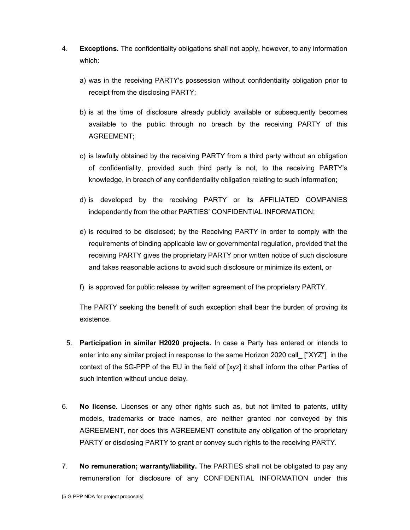- 4. **Exceptions.** The confidentiality obligations shall not apply, however, to any information which:
	- a) was in the receiving PARTY's possession without confidentiality obligation prior to receipt from the disclosing PARTY;
	- b) is at the time of disclosure already publicly available or subsequently becomes available to the public through no breach by the receiving PARTY of this AGREEMENT;
	- c) is lawfully obtained by the receiving PARTY from a third party without an obligation of confidentiality, provided such third party is not, to the receiving PARTY's knowledge, in breach of any confidentiality obligation relating to such information;
	- d) is developed by the receiving PARTY or its AFFILIATED COMPANIES independently from the other PARTIES' CONFIDENTIAL INFORMATION;
	- e) is required to be disclosed; by the Receiving PARTY in order to comply with the requirements of binding applicable law or governmental regulation, provided that the receiving PARTY gives the proprietary PARTY prior written notice of such disclosure and takes reasonable actions to avoid such disclosure or minimize its extent, or
	- f) is approved for public release by written agreement of the proprietary PARTY.

The PARTY seeking the benefit of such exception shall bear the burden of proving its existence.

- 5. **Participation in similar H2020 projects.** In case a Party has entered or intends to enter into any similar project in response to the same Horizon 2020 call\_ ["XYZ"] in the context of the 5G-PPP of the EU in the field of [xyz] it shall inform the other Parties of such intention without undue delay.
- 6. **No license.** Licenses or any other rights such as, but not limited to patents, utility models, trademarks or trade names, are neither granted nor conveyed by this AGREEMENT, nor does this AGREEMENT constitute any obligation of the proprietary PARTY or disclosing PARTY to grant or convey such rights to the receiving PARTY.
- 7. **No remuneration; warranty/liability.** The PARTIES shall not be obligated to pay any remuneration for disclosure of any CONFIDENTIAL INFORMATION under this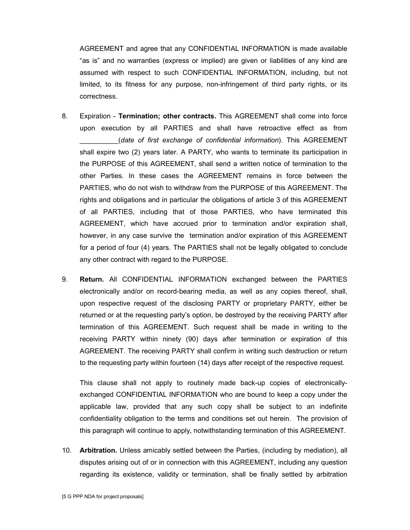AGREEMENT and agree that any CONFIDENTIAL INFORMATION is made available "as is" and no warranties (express or implied) are given or liabilities of any kind are assumed with respect to such CONFIDENTIAL INFORMATION, including, but not limited, to its fitness for any purpose, non-infringement of third party rights, or its correctness.

- 8. Expiration **Termination; other contracts.** This AGREEMENT shall come into force upon execution by all PARTIES and shall have retroactive effect as from \_\_\_\_\_\_\_\_\_\_(*date of first exchange of confidential information*). This AGREEMENT shall expire two (2) years later. A PARTY, who wants to terminate its participation in the PURPOSE of this AGREEMENT, shall send a written notice of termination to the other Parties. In these cases the AGREEMENT remains in force between the PARTIES, who do not wish to withdraw from the PURPOSE of this AGREEMENT. The rights and obligations and in particular the obligations of article 3 of this AGREEMENT of all PARTIES, including that of those PARTIES, who have terminated this AGREEMENT, which have accrued prior to termination and/or expiration shall, however, in any case survive the termination and/or expiration of this AGREEMENT for a period of four (4) years. The PARTIES shall not be legally obligated to conclude any other contract with regard to the PURPOSE.
- 9. **Return.** All CONFIDENTIAL INFORMATION exchanged between the PARTIES electronically and/or on record-bearing media, as well as any copies thereof, shall, upon respective request of the disclosing PARTY or proprietary PARTY, either be returned or at the requesting party's option, be destroyed by the receiving PARTY after termination of this AGREEMENT. Such request shall be made in writing to the receiving PARTY within ninety (90) days after termination or expiration of this AGREEMENT. The receiving PARTY shall confirm in writing such destruction or return to the requesting party within fourteen (14) days after receipt of the respective request.

This clause shall not apply to routinely made back-up copies of electronicallyexchanged CONFIDENTIAL INFORMATION who are bound to keep a copy under the applicable law, provided that any such copy shall be subject to an indefinite confidentiality obligation to the terms and conditions set out herein. The provision of this paragraph will continue to apply, notwithstanding termination of this AGREEMENT.

10. **Arbitration.** Unless amicably settled between the Parties, (including by mediation), all disputes arising out of or in connection with this AGREEMENT, including any question regarding its existence, validity or termination, shall be finally settled by arbitration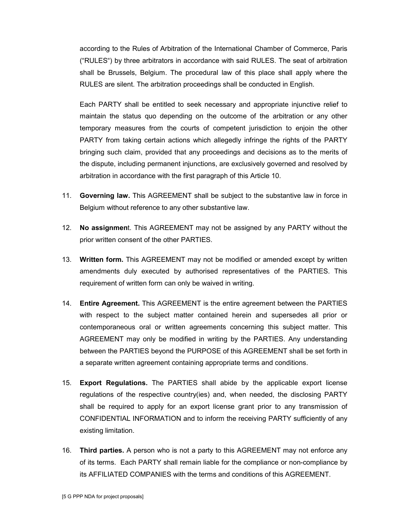according to the Rules of Arbitration of the International Chamber of Commerce, Paris ("RULES") by three arbitrators in accordance with said RULES. The seat of arbitration shall be Brussels, Belgium. The procedural law of this place shall apply where the RULES are silent. The arbitration proceedings shall be conducted in English.

Each PARTY shall be entitled to seek necessary and appropriate injunctive relief to maintain the status quo depending on the outcome of the arbitration or any other temporary measures from the courts of competent jurisdiction to enjoin the other PARTY from taking certain actions which allegedly infringe the rights of the PARTY bringing such claim, provided that any proceedings and decisions as to the merits of the dispute, including permanent injunctions, are exclusively governed and resolved by arbitration in accordance with the first paragraph of this Article 10.

- 11. **Governing law.** This AGREEMENT shall be subject to the substantive law in force in Belgium without reference to any other substantive law.
- 12. **No assignmen**t. This AGREEMENT may not be assigned by any PARTY without the prior written consent of the other PARTIES.
- 13. **Written form.** This AGREEMENT may not be modified or amended except by written amendments duly executed by authorised representatives of the PARTIES. This requirement of written form can only be waived in writing.
- 14. **Entire Agreement.** This AGREEMENT is the entire agreement between the PARTIES with respect to the subject matter contained herein and supersedes all prior or contemporaneous oral or written agreements concerning this subject matter. This AGREEMENT may only be modified in writing by the PARTIES. Any understanding between the PARTIES beyond the PURPOSE of this AGREEMENT shall be set forth in a separate written agreement containing appropriate terms and conditions.
- 15. **Export Regulations.** The PARTIES shall abide by the applicable export license regulations of the respective country(ies) and, when needed, the disclosing PARTY shall be required to apply for an export license grant prior to any transmission of CONFIDENTIAL INFORMATION and to inform the receiving PARTY sufficiently of any existing limitation.
- 16. **Third parties.** A person who is not a party to this AGREEMENT may not enforce any of its terms. Each PARTY shall remain liable for the compliance or non-compliance by its AFFILIATED COMPANIES with the terms and conditions of this AGREEMENT.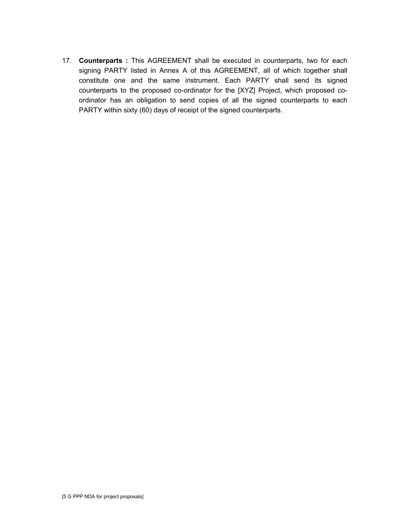17. **Counterparts :** This AGREEMENT shall be executed in counterparts, two for each signing PARTY listed in Annex A of this AGREEMENT, all of which together shall constitute one and the same instrument. Each PARTY shall send its signed counterparts to the proposed co-ordinator for the [XYZ] Project, which proposed coordinator has an obligation to send copies of all the signed counterparts to each PARTY within sixty (60) days of receipt of the signed counterparts.